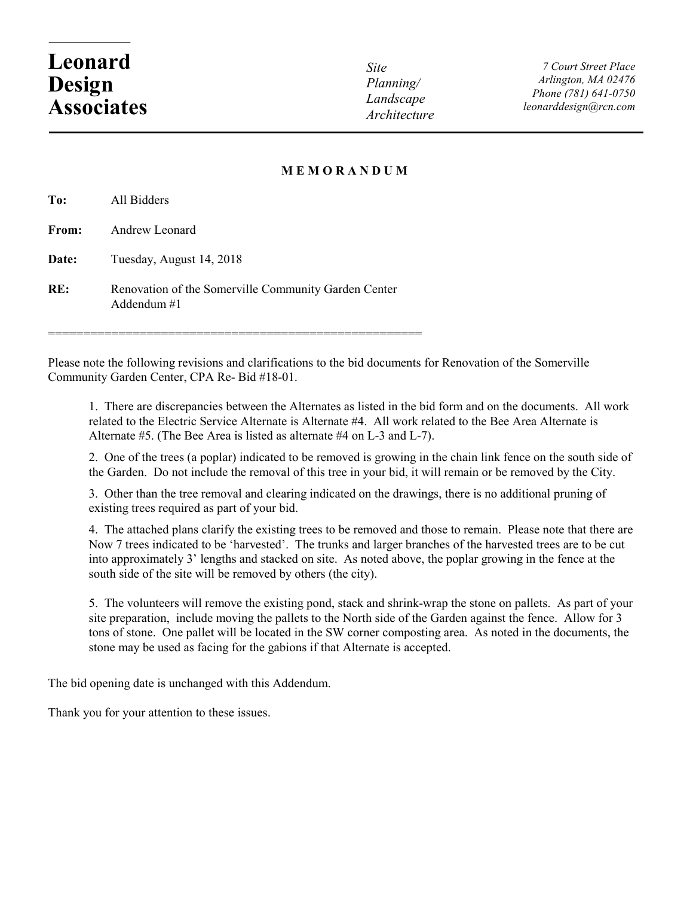## **Leonard Design Associates**

*Site Planning/ Landscape Architecture*

*7 Court Street Place Arlington, MA 02476 Phone (781) 641-0750 leonarddesign@rcn.com*

## **M E M O R A N D U M**

| To:   | All Bidders                                                           |
|-------|-----------------------------------------------------------------------|
| From: | Andrew Leonard                                                        |
| Date: | Tuesday, August 14, 2018                                              |
| RE:   | Renovation of the Somerville Community Garden Center<br>Addendum $#1$ |

=====================================================

Please note the following revisions and clarifications to the bid documents for Renovation of the Somerville Community Garden Center, CPA Re- Bid #18-01.

1. There are discrepancies between the Alternates as listed in the bid form and on the documents. All work related to the Electric Service Alternate is Alternate #4. All work related to the Bee Area Alternate is Alternate #5. (The Bee Area is listed as alternate #4 on L-3 and L-7).

2. One of the trees (a poplar) indicated to be removed is growing in the chain link fence on the south side of the Garden. Do not include the removal of this tree in your bid, it will remain or be removed by the City.

3. Other than the tree removal and clearing indicated on the drawings, there is no additional pruning of existing trees required as part of your bid.

4. The attached plans clarify the existing trees to be removed and those to remain. Please note that there are Now 7 trees indicated to be 'harvested'. The trunks and larger branches of the harvested trees are to be cut into approximately 3' lengths and stacked on site. As noted above, the poplar growing in the fence at the south side of the site will be removed by others (the city).

5. The volunteers will remove the existing pond, stack and shrink-wrap the stone on pallets. As part of your site preparation, include moving the pallets to the North side of the Garden against the fence. Allow for 3 tons of stone. One pallet will be located in the SW corner composting area. As noted in the documents, the stone may be used as facing for the gabions if that Alternate is accepted.

The bid opening date is unchanged with this Addendum.

Thank you for your attention to these issues.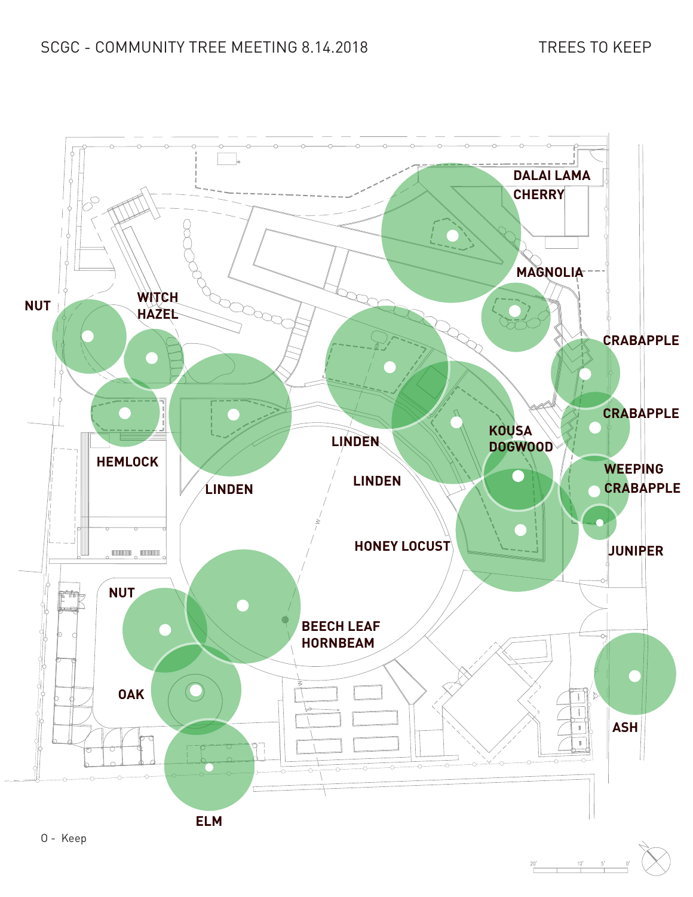